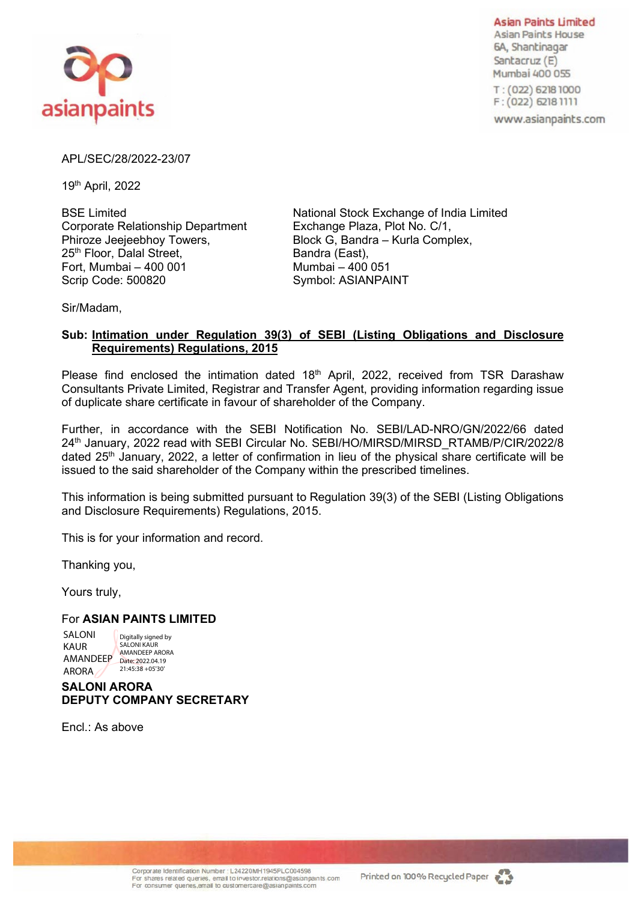

**Asian Paints Limited** Asian Paints House 6A, Shantinagar Santacruz (E) Mumbai 400 055

T: (022) 6218 1000 F: (022) 6218 1111

www.asianpaints.com

## APL/SEC/28/2022-23/07

19th April, 2022

Corporate Relationship Department Exchange Plaza, Plot No. C/1,<br>Phiroze Jeejeebhoy Towers, Block G, Bandra – Kurla Comp 25<sup>th</sup> Floor, Dalal Street, Fort, Mumbai – 400 001 Mumbai – 400 051 Scrip Code: 500820 Symbol: ASIANPAINT

BSE Limited National Stock Exchange of India Limited Block G, Bandra – Kurla Complex, Bandra (East),

Sir/Madam,

## **Sub: Intimation under Regulation 39(3) of SEBI (Listing Obligations and Disclosure Requirements) Regulations, 2015**

Please find enclosed the intimation dated  $18<sup>th</sup>$  April, 2022, received from TSR Darashaw Consultants Private Limited, Registrar and Transfer Agent, providing information regarding issue of duplicate share certificate in favour of shareholder of the Company.

Further, in accordance with the SEBI Notification No. SEBI/LAD-NRO/GN/2022/66 dated 24<sup>th</sup> January, 2022 read with SEBI Circular No. SEBI/HO/MIRSD/MIRSD\_RTAMB/P/CIR/2022/8 dated  $25<sup>th</sup>$  January, 2022, a letter of confirmation in lieu of the physical share certificate will be issued to the said shareholder of the Company within the prescribed timelines.

This information is being submitted pursuant to Regulation 39(3) of the SEBI (Listing Obligations and Disclosure Requirements) Regulations, 2015.

This is for your information and record.

Thanking you,

Yours truly,

## For **ASIAN PAINTS LIMITED**

SALONI KAUR AMANDEEP Date: 2022.04.19 ARORA Digitally signed by SALONI KAUR AMANDEEP ARORA 21:45:38 +05'30'

## **SALONI ARORA DEPUTY COMPANY SECRETARY**

Encl.: As above

Corporate Identification Number : L24220MH1945PLC004598 For shares related queries, email to investor, relations@asianpaints.com For consumer quenes, email to customercare@asianpaints.com